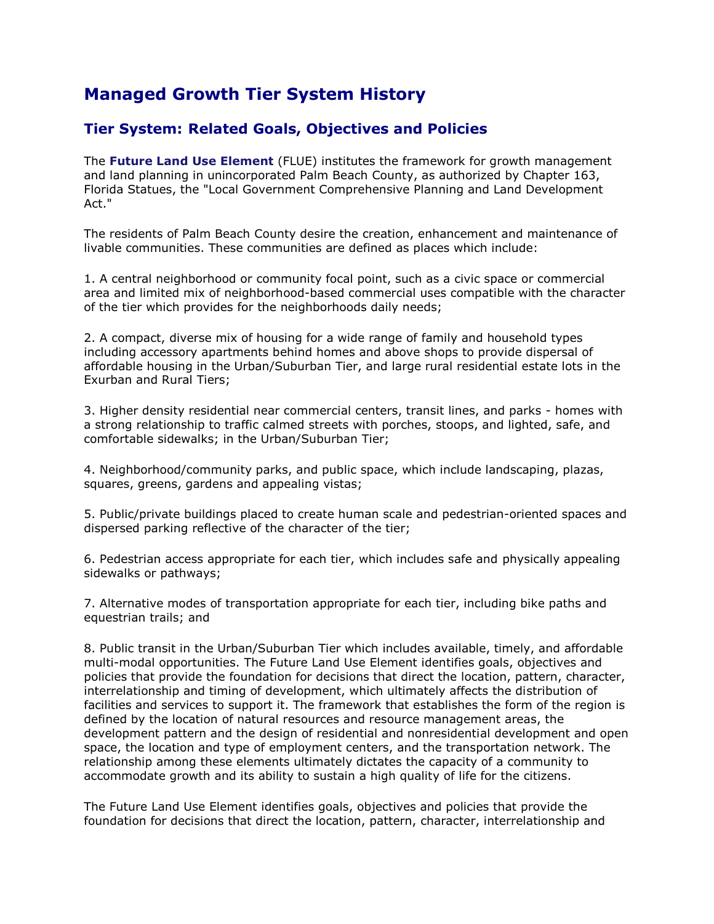# **Managed Growth Tier System History**

# **Tier System: Related Goals, Objectives and Policies**

The **[Future Land Use Element](http://www.pbcgov.com/pzb/planning/comprehensiveplan/tableofcontent.htm)** (FLUE) institutes the framework for growth management and land planning in unincorporated Palm Beach County, as authorized by Chapter 163, Florida Statues, the "Local Government Comprehensive Planning and Land Development Act."

The residents of Palm Beach County desire the creation, enhancement and maintenance of livable communities. These communities are defined as places which include:

1. A central neighborhood or community focal point, such as a civic space or commercial area and limited mix of neighborhood-based commercial uses compatible with the character of the tier which provides for the neighborhoods daily needs;

2. A compact, diverse mix of housing for a wide range of family and household types including accessory apartments behind homes and above shops to provide dispersal of affordable housing in the Urban/Suburban Tier, and large rural residential estate lots in the Exurban and Rural Tiers;

3. Higher density residential near commercial centers, transit lines, and parks - homes with a strong relationship to traffic calmed streets with porches, stoops, and lighted, safe, and comfortable sidewalks; in the Urban/Suburban Tier;

4. Neighborhood/community parks, and public space, which include landscaping, plazas, squares, greens, gardens and appealing vistas;

5. Public/private buildings placed to create human scale and pedestrian-oriented spaces and dispersed parking reflective of the character of the tier;

6. Pedestrian access appropriate for each tier, which includes safe and physically appealing sidewalks or pathways;

7. Alternative modes of transportation appropriate for each tier, including bike paths and equestrian trails; and

8. Public transit in the Urban/Suburban Tier which includes available, timely, and affordable multi-modal opportunities. The Future Land Use Element identifies goals, objectives and policies that provide the foundation for decisions that direct the location, pattern, character, interrelationship and timing of development, which ultimately affects the distribution of facilities and services to support it. The framework that establishes the form of the region is defined by the location of natural resources and resource management areas, the development pattern and the design of residential and nonresidential development and open space, the location and type of employment centers, and the transportation network. The relationship among these elements ultimately dictates the capacity of a community to accommodate growth and its ability to sustain a high quality of life for the citizens.

The Future Land Use Element identifies goals, objectives and policies that provide the foundation for decisions that direct the location, pattern, character, interrelationship and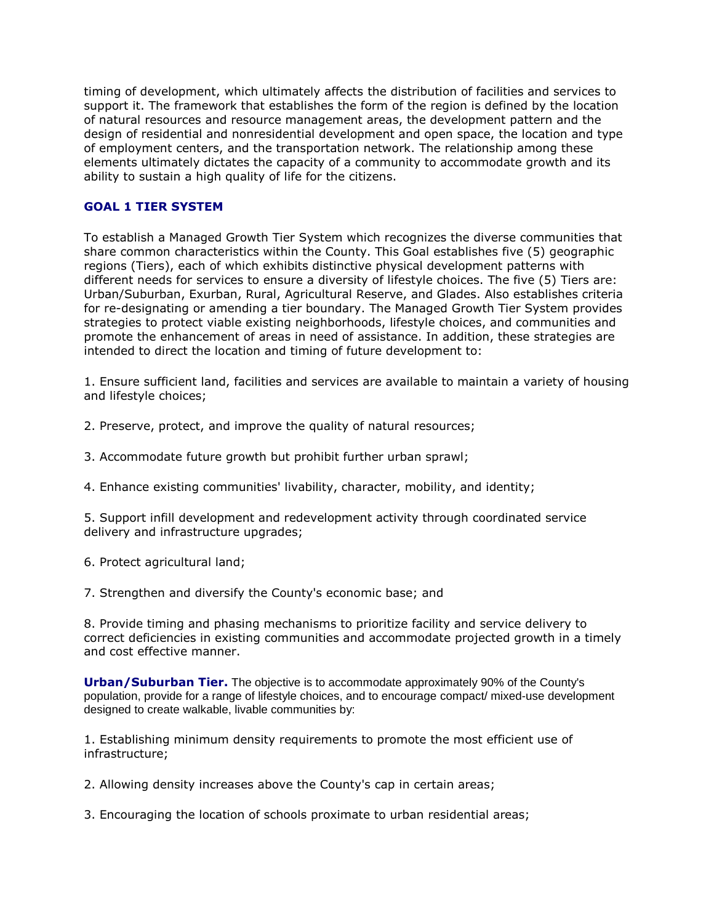timing of development, which ultimately affects the distribution of facilities and services to support it. The framework that establishes the form of the region is defined by the location of natural resources and resource management areas, the development pattern and the design of residential and nonresidential development and open space, the location and type of employment centers, and the transportation network. The relationship among these elements ultimately dictates the capacity of a community to accommodate growth and its ability to sustain a high quality of life for the citizens.

### **GOAL 1 TIER SYSTEM**

To establish a Managed Growth Tier System which recognizes the diverse communities that share common characteristics within the County. This Goal establishes five (5) geographic regions (Tiers), each of which exhibits distinctive physical development patterns with different needs for services to ensure a diversity of lifestyle choices. The five (5) Tiers are: Urban/Suburban, Exurban, Rural, Agricultural Reserve, and Glades. Also establishes criteria for re-designating or amending a tier boundary. The Managed Growth Tier System provides strategies to protect viable existing neighborhoods, lifestyle choices, and communities and promote the enhancement of areas in need of assistance. In addition, these strategies are intended to direct the location and timing of future development to:

1. Ensure sufficient land, facilities and services are available to maintain a variety of housing and lifestyle choices;

2. Preserve, protect, and improve the quality of natural resources;

3. Accommodate future growth but prohibit further urban sprawl;

4. Enhance existing communities' livability, character, mobility, and identity;

5. Support infill development and redevelopment activity through coordinated service delivery and infrastructure upgrades;

6. Protect agricultural land;

7. Strengthen and diversify the County's economic base; and

8. Provide timing and phasing mechanisms to prioritize facility and service delivery to correct deficiencies in existing communities and accommodate projected growth in a timely and cost effective manner.

**Urban/Suburban Tier.** The objective is to accommodate approximately 90% of the County's population, provide for a range of lifestyle choices, and to encourage compact/ mixed-use development designed to create walkable, livable communities by:

1. Establishing minimum density requirements to promote the most efficient use of infrastructure;

2. Allowing density increases above the County's cap in certain areas;

3. Encouraging the location of schools proximate to urban residential areas;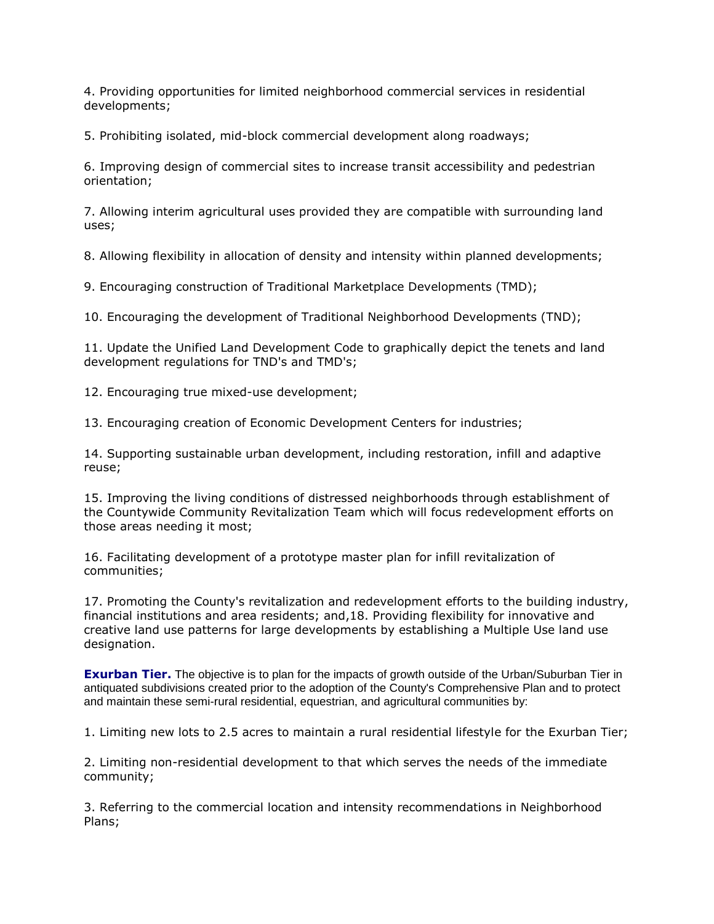4. Providing opportunities for limited neighborhood commercial services in residential developments;

5. Prohibiting isolated, mid-block commercial development along roadways;

6. Improving design of commercial sites to increase transit accessibility and pedestrian orientation;

7. Allowing interim agricultural uses provided they are compatible with surrounding land uses;

8. Allowing flexibility in allocation of density and intensity within planned developments;

9. Encouraging construction of Traditional Marketplace Developments (TMD);

10. Encouraging the development of Traditional Neighborhood Developments (TND);

11. Update the Unified Land Development Code to graphically depict the tenets and land development regulations for TND's and TMD's;

12. Encouraging true mixed-use development;

13. Encouraging creation of Economic Development Centers for industries;

14. Supporting sustainable urban development, including restoration, infill and adaptive reuse;

15. Improving the living conditions of distressed neighborhoods through establishment of the Countywide Community Revitalization Team which will focus redevelopment efforts on those areas needing it most;

16. Facilitating development of a prototype master plan for infill revitalization of communities;

17. Promoting the County's revitalization and redevelopment efforts to the building industry, financial institutions and area residents; and,18. Providing flexibility for innovative and creative land use patterns for large developments by establishing a Multiple Use land use designation.

**Exurban Tier.** The objective is to plan for the impacts of growth outside of the Urban/Suburban Tier in antiquated subdivisions created prior to the adoption of the County's Comprehensive Plan and to protect and maintain these semi-rural residential, equestrian, and agricultural communities by:

1. Limiting new lots to 2.5 acres to maintain a rural residential lifestyle for the Exurban Tier;

2. Limiting non-residential development to that which serves the needs of the immediate community;

3. Referring to the commercial location and intensity recommendations in Neighborhood Plans;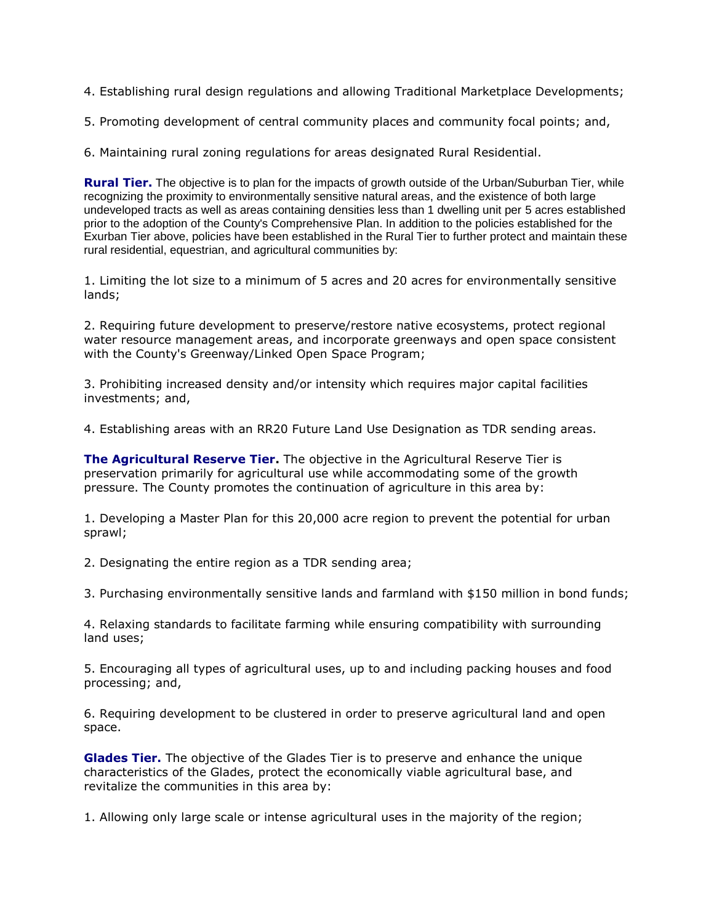4. Establishing rural design regulations and allowing Traditional Marketplace Developments;

5. Promoting development of central community places and community focal points; and,

6. Maintaining rural zoning regulations for areas designated Rural Residential.

**Rural Tier.** The objective is to plan for the impacts of growth outside of the Urban/Suburban Tier, while recognizing the proximity to environmentally sensitive natural areas, and the existence of both large undeveloped tracts as well as areas containing densities less than 1 dwelling unit per 5 acres established prior to the adoption of the County's Comprehensive Plan. In addition to the policies established for the Exurban Tier above, policies have been established in the Rural Tier to further protect and maintain these rural residential, equestrian, and agricultural communities by:

1. Limiting the lot size to a minimum of 5 acres and 20 acres for environmentally sensitive lands;

2. Requiring future development to preserve/restore native ecosystems, protect regional water resource management areas, and incorporate greenways and open space consistent with the County's Greenway/Linked Open Space Program;

3. Prohibiting increased density and/or intensity which requires major capital facilities investments; and,

4. Establishing areas with an RR20 Future Land Use Designation as TDR sending areas.

**The Agricultural Reserve Tier.** The objective in the Agricultural Reserve Tier is preservation primarily for agricultural use while accommodating some of the growth pressure. The County promotes the continuation of agriculture in this area by:

1. Developing a Master Plan for this 20,000 acre region to prevent the potential for urban sprawl;

2. Designating the entire region as a TDR sending area;

3. Purchasing environmentally sensitive lands and farmland with \$150 million in bond funds;

4. Relaxing standards to facilitate farming while ensuring compatibility with surrounding land uses;

5. Encouraging all types of agricultural uses, up to and including packing houses and food processing; and,

6. Requiring development to be clustered in order to preserve agricultural land and open space.

**Glades Tier.** The objective of the Glades Tier is to preserve and enhance the unique characteristics of the Glades, protect the economically viable agricultural base, and revitalize the communities in this area by:

1. Allowing only large scale or intense agricultural uses in the majority of the region;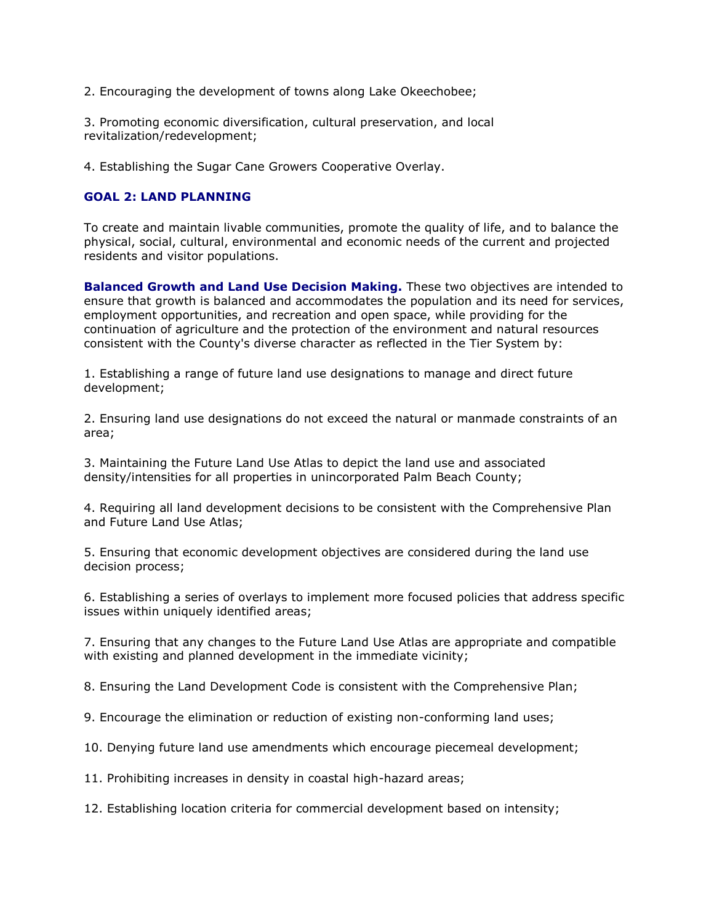2. Encouraging the development of towns along Lake Okeechobee;

3. Promoting economic diversification, cultural preservation, and local revitalization/redevelopment;

4. Establishing the Sugar Cane Growers Cooperative Overlay.

#### **GOAL 2: LAND PLANNING**

To create and maintain livable communities, promote the quality of life, and to balance the physical, social, cultural, environmental and economic needs of the current and projected residents and visitor populations.

**Balanced Growth and Land Use Decision Making.** These two objectives are intended to ensure that growth is balanced and accommodates the population and its need for services, employment opportunities, and recreation and open space, while providing for the continuation of agriculture and the protection of the environment and natural resources consistent with the County's diverse character as reflected in the Tier System by:

1. Establishing a range of future land use designations to manage and direct future development;

2. Ensuring land use designations do not exceed the natural or manmade constraints of an area;

3. Maintaining the Future Land Use Atlas to depict the land use and associated density/intensities for all properties in unincorporated Palm Beach County;

4. Requiring all land development decisions to be consistent with the Comprehensive Plan and Future Land Use Atlas;

5. Ensuring that economic development objectives are considered during the land use decision process;

6. Establishing a series of overlays to implement more focused policies that address specific issues within uniquely identified areas;

7. Ensuring that any changes to the Future Land Use Atlas are appropriate and compatible with existing and planned development in the immediate vicinity;

8. Ensuring the Land Development Code is consistent with the Comprehensive Plan;

9. Encourage the elimination or reduction of existing non-conforming land uses;

10. Denying future land use amendments which encourage piecemeal development;

11. Prohibiting increases in density in coastal high-hazard areas;

12. Establishing location criteria for commercial development based on intensity;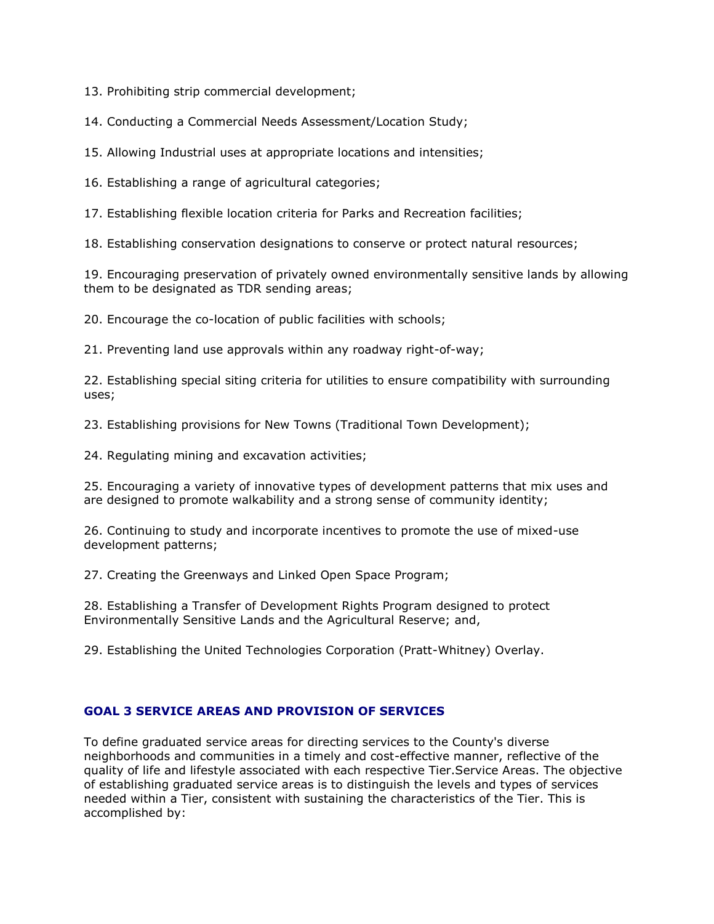13. Prohibiting strip commercial development;

14. Conducting a Commercial Needs Assessment/Location Study;

15. Allowing Industrial uses at appropriate locations and intensities;

16. Establishing a range of agricultural categories;

17. Establishing flexible location criteria for Parks and Recreation facilities;

18. Establishing conservation designations to conserve or protect natural resources;

19. Encouraging preservation of privately owned environmentally sensitive lands by allowing them to be designated as TDR sending areas;

20. Encourage the co-location of public facilities with schools;

21. Preventing land use approvals within any roadway right-of-way;

22. Establishing special siting criteria for utilities to ensure compatibility with surrounding uses;

23. Establishing provisions for New Towns (Traditional Town Development);

24. Regulating mining and excavation activities;

25. Encouraging a variety of innovative types of development patterns that mix uses and are designed to promote walkability and a strong sense of community identity;

26. Continuing to study and incorporate incentives to promote the use of mixed-use development patterns;

27. Creating the Greenways and Linked Open Space Program;

28. Establishing a Transfer of Development Rights Program designed to protect Environmentally Sensitive Lands and the Agricultural Reserve; and,

29. Establishing the United Technologies Corporation (Pratt-Whitney) Overlay.

#### **GOAL 3 SERVICE AREAS AND PROVISION OF SERVICES**

To define graduated service areas for directing services to the County's diverse neighborhoods and communities in a timely and cost-effective manner, reflective of the quality of life and lifestyle associated with each respective Tier.Service Areas. The objective of establishing graduated service areas is to distinguish the levels and types of services needed within a Tier, consistent with sustaining the characteristics of the Tier. This is accomplished by: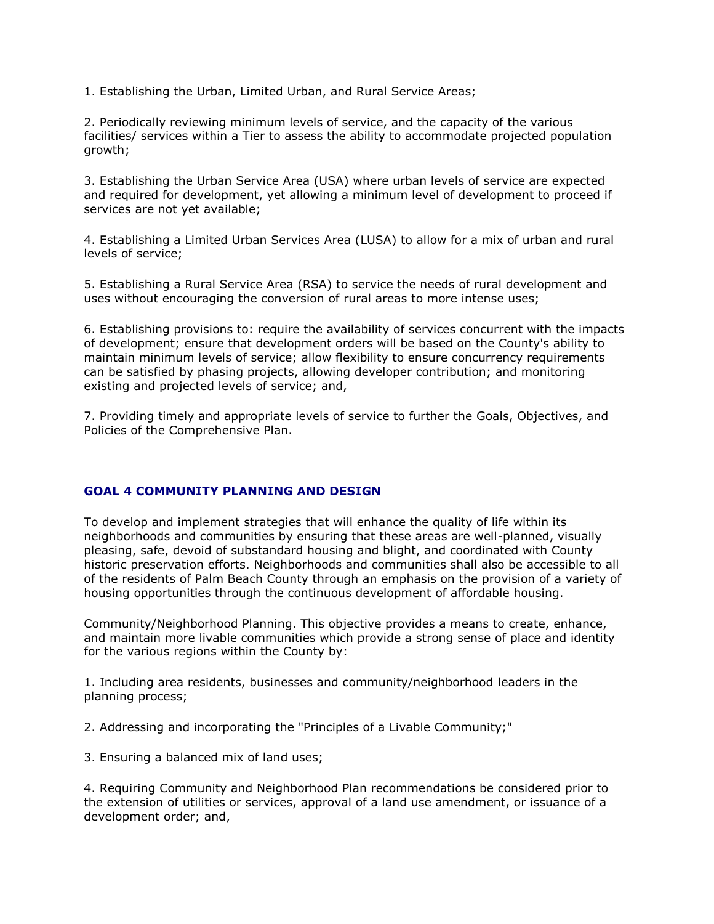1. Establishing the Urban, Limited Urban, and Rural Service Areas;

2. Periodically reviewing minimum levels of service, and the capacity of the various facilities/ services within a Tier to assess the ability to accommodate projected population growth;

3. Establishing the Urban Service Area (USA) where urban levels of service are expected and required for development, yet allowing a minimum level of development to proceed if services are not yet available;

4. Establishing a Limited Urban Services Area (LUSA) to allow for a mix of urban and rural levels of service;

5. Establishing a Rural Service Area (RSA) to service the needs of rural development and uses without encouraging the conversion of rural areas to more intense uses;

6. Establishing provisions to: require the availability of services concurrent with the impacts of development; ensure that development orders will be based on the County's ability to maintain minimum levels of service; allow flexibility to ensure concurrency requirements can be satisfied by phasing projects, allowing developer contribution; and monitoring existing and projected levels of service; and,

7. Providing timely and appropriate levels of service to further the Goals, Objectives, and Policies of the Comprehensive Plan.

#### **GOAL 4 COMMUNITY PLANNING AND DESIGN**

To develop and implement strategies that will enhance the quality of life within its neighborhoods and communities by ensuring that these areas are well-planned, visually pleasing, safe, devoid of substandard housing and blight, and coordinated with County historic preservation efforts. Neighborhoods and communities shall also be accessible to all of the residents of Palm Beach County through an emphasis on the provision of a variety of housing opportunities through the continuous development of affordable housing.

Community/Neighborhood Planning. This objective provides a means to create, enhance, and maintain more livable communities which provide a strong sense of place and identity for the various regions within the County by:

1. Including area residents, businesses and community/neighborhood leaders in the planning process;

2. Addressing and incorporating the "Principles of a Livable Community;"

3. Ensuring a balanced mix of land uses;

4. Requiring Community and Neighborhood Plan recommendations be considered prior to the extension of utilities or services, approval of a land use amendment, or issuance of a development order; and,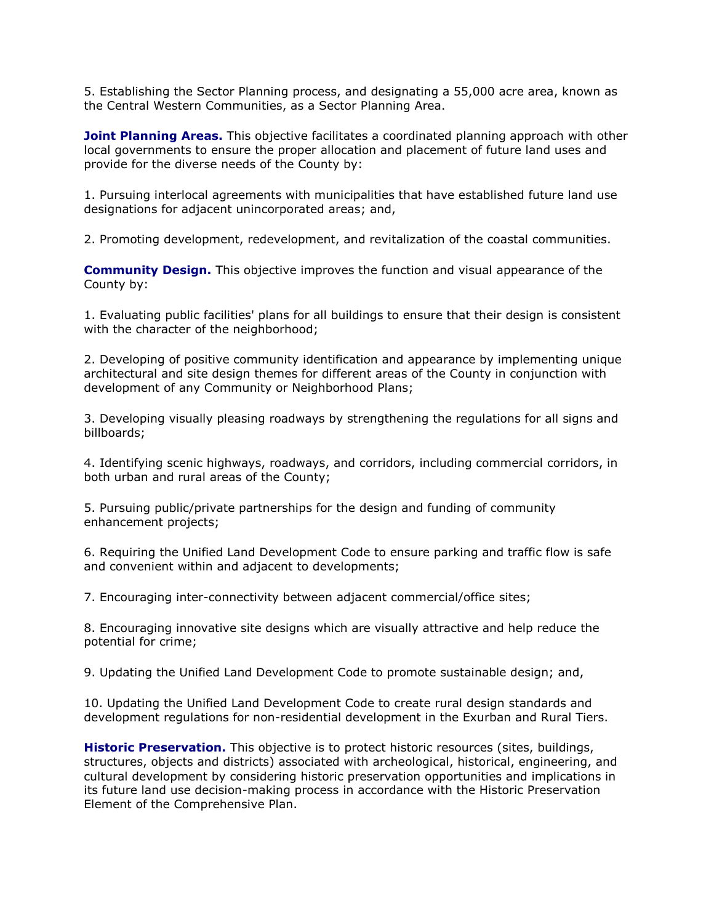5. Establishing the Sector Planning process, and designating a 55,000 acre area, known as the Central Western Communities, as a Sector Planning Area.

**Joint Planning Areas.** This objective facilitates a coordinated planning approach with other local governments to ensure the proper allocation and placement of future land uses and provide for the diverse needs of the County by:

1. Pursuing interlocal agreements with municipalities that have established future land use designations for adjacent unincorporated areas; and,

2. Promoting development, redevelopment, and revitalization of the coastal communities.

**Community Design.** This objective improves the function and visual appearance of the County by:

1. Evaluating public facilities' plans for all buildings to ensure that their design is consistent with the character of the neighborhood;

2. Developing of positive community identification and appearance by implementing unique architectural and site design themes for different areas of the County in conjunction with development of any Community or Neighborhood Plans;

3. Developing visually pleasing roadways by strengthening the regulations for all signs and billboards;

4. Identifying scenic highways, roadways, and corridors, including commercial corridors, in both urban and rural areas of the County;

5. Pursuing public/private partnerships for the design and funding of community enhancement projects;

6. Requiring the Unified Land Development Code to ensure parking and traffic flow is safe and convenient within and adjacent to developments;

7. Encouraging inter-connectivity between adjacent commercial/office sites;

8. Encouraging innovative site designs which are visually attractive and help reduce the potential for crime;

9. Updating the Unified Land Development Code to promote sustainable design; and,

10. Updating the Unified Land Development Code to create rural design standards and development regulations for non-residential development in the Exurban and Rural Tiers.

**Historic Preservation.** This objective is to protect historic resources (sites, buildings, structures, objects and districts) associated with archeological, historical, engineering, and cultural development by considering historic preservation opportunities and implications in its future land use decision-making process in accordance with the Historic Preservation Element of the Comprehensive Plan.